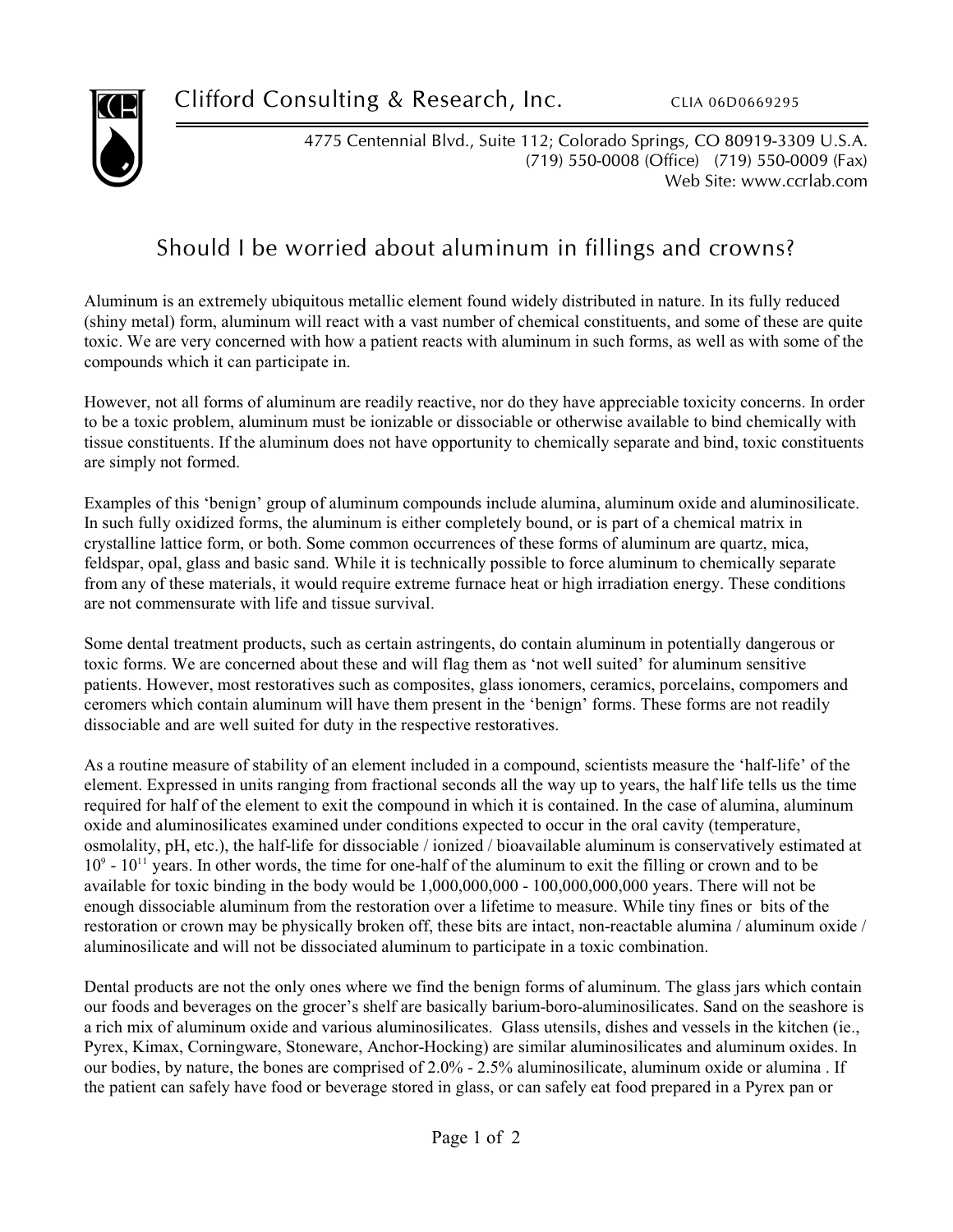

4775 Centennial Blvd., Suite 112; Colorado Springs, CO 80919-3309 U.S.A. (719) 550-0008 (Office) (719) 550-0009 (Fax) Web Site: www.ccrlab.com

## Should I be worried about aluminum in fillings and crowns?

Aluminum is an extremely ubiquitous metallic element found widely distributed in nature. In its fully reduced (shiny metal) form, aluminum will react with a vast number of chemical constituents, and some of these are quite toxic. We are very concerned with how a patient reacts with aluminum in such forms, as well as with some of the compounds which it can participate in.

However, not all forms of aluminum are readily reactive, nor do they have appreciable toxicity concerns. In order to be a toxic problem, aluminum must be ionizable or dissociable or otherwise available to bind chemically with tissue constituents. If the aluminum does not have opportunity to chemically separate and bind, toxic constituents are simply not formed.

Examples of this 'benign' group of aluminum compounds include alumina, aluminum oxide and aluminosilicate. In such fully oxidized forms, the aluminum is either completely bound, or is part of a chemical matrix in crystalline lattice form, or both. Some common occurrences of these forms of aluminum are quartz, mica, feldspar, opal, glass and basic sand. While it is technically possible to force aluminum to chemically separate from any of these materials, it would require extreme furnace heat or high irradiation energy. These conditions are not commensurate with life and tissue survival.

Some dental treatment products, such as certain astringents, do contain aluminum in potentially dangerous or toxic forms. We are concerned about these and will flag them as 'not well suited' for aluminum sensitive patients. However, most restoratives such as composites, glass ionomers, ceramics, porcelains, compomers and ceromers which contain aluminum will have them present in the 'benign' forms. These forms are not readily dissociable and are well suited for duty in the respective restoratives.

As a routine measure of stability of an element included in a compound, scientists measure the 'half-life' of the element. Expressed in units ranging from fractional seconds all the way up to years, the half life tells us the time required for half of the element to exit the compound in which it is contained. In the case of alumina, aluminum oxide and aluminosilicates examined under conditions expected to occur in the oral cavity (temperature, osmolality, pH, etc.), the half-life for dissociable / ionized / bioavailable aluminum is conservatively estimated at  $10^9$  -  $10^{11}$  years. In other words, the time for one-half of the aluminum to exit the filling or crown and to be available for toxic binding in the body would be 1,000,000,000 - 100,000,000,000 years. There will not be enough dissociable aluminum from the restoration over a lifetime to measure. While tiny fines or bits of the restoration or crown may be physically broken off, these bits are intact, non-reactable alumina / aluminum oxide / aluminosilicate and will not be dissociated aluminum to participate in a toxic combination.

Dental products are not the only ones where we find the benign forms of aluminum. The glass jars which contain our foods and beverages on the grocer's shelf are basically barium-boro-aluminosilicates. Sand on the seashore is a rich mix of aluminum oxide and various aluminosilicates. Glass utensils, dishes and vessels in the kitchen (ie., Pyrex, Kimax, Corningware, Stoneware, Anchor-Hocking) are similar aluminosilicates and aluminum oxides. In our bodies, by nature, the bones are comprised of 2.0% - 2.5% aluminosilicate, aluminum oxide or alumina . If the patient can safely have food or beverage stored in glass, or can safely eat food prepared in a Pyrex pan or